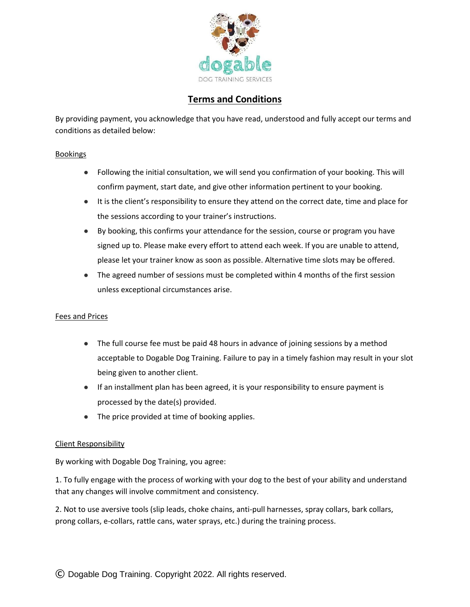

# **Terms and Conditions**

By providing payment, you acknowledge that you have read, understood and fully accept our terms and conditions as detailed below:

# **Bookings**

- Following the initial consultation, we will send you confirmation of your booking. This will confirm payment, start date, and give other information pertinent to your booking.
- It is the client's responsibility to ensure they attend on the correct date, time and place for the sessions according to your trainer's instructions.
- By booking, this confirms your attendance for the session, course or program you have signed up to. Please make every effort to attend each week. If you are unable to attend, please let your trainer know as soon as possible. Alternative time slots may be offered.
- The agreed number of sessions must be completed within 4 months of the first session unless exceptional circumstances arise.

# Fees and Prices

- The full course fee must be paid 48 hours in advance of joining sessions by a method acceptable to Dogable Dog Training. Failure to pay in a timely fashion may result in your slot being given to another client.
- If an installment plan has been agreed, it is your responsibility to ensure payment is processed by the date(s) provided.
- The price provided at time of booking applies.

## Client Responsibility

By working with Dogable Dog Training, you agree:

1. To fully engage with the process of working with your dog to the best of your ability and understand that any changes will involve commitment and consistency.

2. Not to use aversive tools (slip leads, choke chains, anti-pull harnesses, spray collars, bark collars, prong collars, e-collars, rattle cans, water sprays, etc.) during the training process.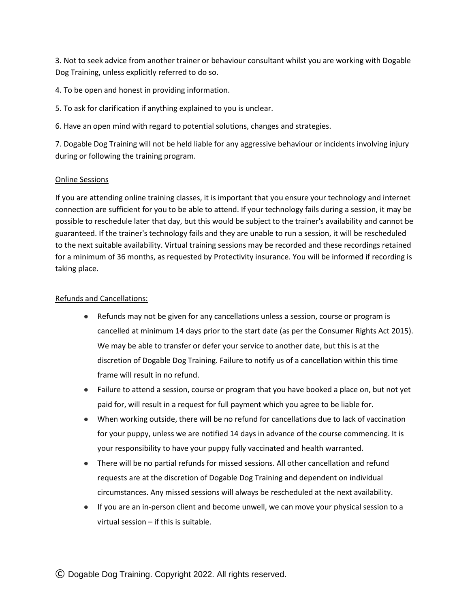3. Not to seek advice from another trainer or behaviour consultant whilst you are working with Dogable Dog Training, unless explicitly referred to do so.

4. To be open and honest in providing information.

5. To ask for clarification if anything explained to you is unclear.

6. Have an open mind with regard to potential solutions, changes and strategies.

7. Dogable Dog Training will not be held liable for any aggressive behaviour or incidents involving injury during or following the training program.

#### Online Sessions

If you are attending online training classes, it is important that you ensure your technology and internet connection are sufficient for you to be able to attend. If your technology fails during a session, it may be possible to reschedule later that day, but this would be subject to the trainer's availability and cannot be guaranteed. If the trainer's technology fails and they are unable to run a session, it will be rescheduled to the next suitable availability. Virtual training sessions may be recorded and these recordings retained for a minimum of 36 months, as requested by Protectivity insurance. You will be informed if recording is taking place.

#### Refunds and Cancellations:

- Refunds may not be given for any cancellations unless a session, course or program is cancelled at minimum 14 days prior to the start date (as per the Consumer Rights Act 2015). We may be able to transfer or defer your service to another date, but this is at the discretion of Dogable Dog Training. Failure to notify us of a cancellation within this time frame will result in no refund.
- Failure to attend a session, course or program that you have booked a place on, but not yet paid for, will result in a request for full payment which you agree to be liable for.
- When working outside, there will be no refund for cancellations due to lack of vaccination for your puppy, unless we are notified 14 days in advance of the course commencing. It is your responsibility to have your puppy fully vaccinated and health warranted.
- There will be no partial refunds for missed sessions. All other cancellation and refund requests are at the discretion of Dogable Dog Training and dependent on individual circumstances. Any missed sessions will always be rescheduled at the next availability.
- If you are an in-person client and become unwell, we can move your physical session to a virtual session – if this is suitable.